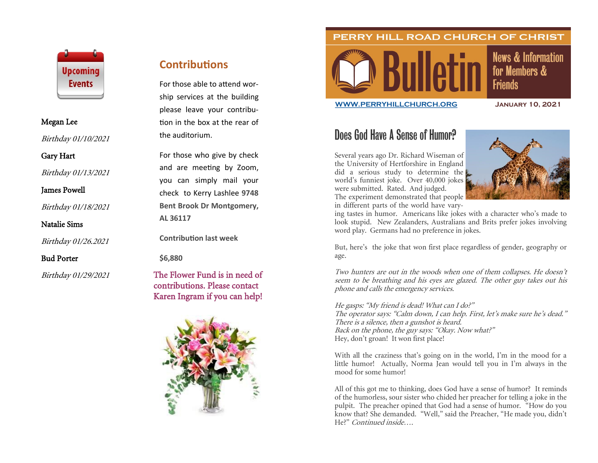

#### Megan Lee

Birthday 01/10/2021

Gary Hart

Birthday 01/13/2021

James Powell

Birthday 01/18/2021

Natalie Sims

Birthday 01/26.2021

### Bud Porter

Birthday 01/29/2021

## **Contributions**

For those able to attend worship services at the building please leave your contribution in the box at the rear of the auditorium.

For those who give by check and are meeting by Zoom, you can simply mail your check to Kerry Lashlee **9748 Bent Brook Dr Montgomery, AL 36117**

**Contribution last week**

**\$6,880**

## The Flower Fund is in need of contributions. Please contact Karen Ingram if you can help!





**News & Information** for Members & **Friends** 

**[WWW.PERRYHILLCHURCH.ORG](http://www.perryhillchurch.org) January 10, 2021**

# Does God Have A Sense of Humor?

Several years ago Dr. Richard Wiseman of the University of Hertforshire in England did a serious study to determine the world's funniest joke. Over 40,000 jokes were submitted. Rated. And judged. The experiment demonstrated that people in different parts of the world have vary-



ing tastes in humor. Americans like jokes with a character who's made to look stupid. New Zealanders, Australians and Brits prefer jokes involving word play. Germans had no preference in jokes.

PERRY HILL ROAD CHURCH OF CHRIST

But, here's the joke that won first place regardless of gender, geography or age.

Two hunters are out in the woods when one of them collapses. He doesn't seem to be breathing and his eyes are glazed. The other guy takes out his phone and calls the emergency services.

He gasps: "My friend is dead! What can I do?" The operator says: "Calm down, I can help. First, let's make sure he's dead." There is a silence, then a gunshot is heard. Back on the phone, the guy says: "Okay. Now what?" Hey, don't groan! It won first place!

With all the craziness that's going on in the world, I'm in the mood for a little humor! Actually, Norma Jean would tell you in I'm always in the mood for some humor!

All of this got me to thinking, does God have a sense of humor? It reminds of the humorless, sour sister who chided her preacher for telling a joke in the pulpit. The preacher opined that God had a sense of humor. "How do you know that? She demanded. "Well," said the Preacher, "He made you, didn't He?" Continued inside….